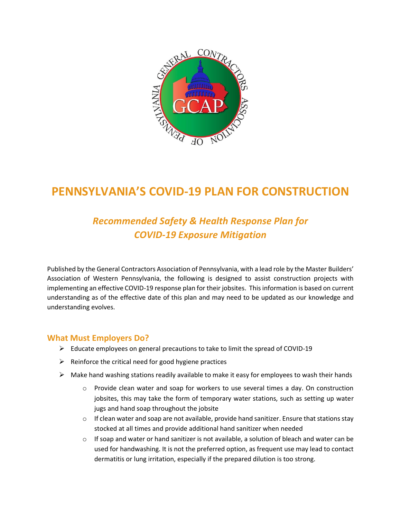

# **PENNSYLVANIA'S COVID-19 PLAN FOR CONSTRUCTION**

# *Recommended Safety & Health Response Plan for COVID-19 Exposure Mitigation*

Published by the General Contractors Association of Pennsylvania, with a lead role by the Master Builders' Association of Western Pennsylvania, the following is designed to assist construction projects with implementing an effective COVID-19 response plan for their jobsites. This information is based on current understanding as of the effective date of this plan and may need to be updated as our knowledge and understanding evolves.

#### **What Must Employers Do?**

- $\triangleright$  Educate employees on general precautions to take to limit the spread of COVID-19
- $\triangleright$  Reinforce the critical need for good hygiene practices
- $\triangleright$  Make hand washing stations readily available to make it easy for employees to wash their hands
	- $\circ$  Provide clean water and soap for workers to use several times a day. On construction jobsites, this may take the form of temporary water stations, such as setting up water jugs and hand soap throughout the jobsite
	- o If clean water and soap are not available, provide hand sanitizer. Ensure that stations stay stocked at all times and provide additional hand sanitizer when needed
	- $\circ$  If soap and water or hand sanitizer is not available, a solution of bleach and water can be used for handwashing. It is not the preferred option, as frequent use may lead to contact dermatitis or lung irritation, especially if the prepared dilution is too strong.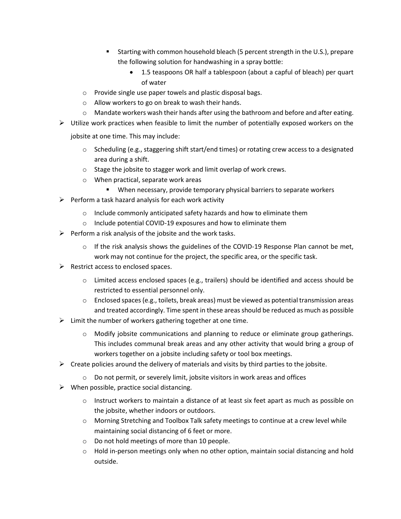- Starting with common household bleach (5 percent strength in the U.S.), prepare the following solution for handwashing in a spray bottle:
	- 1.5 teaspoons OR half a tablespoon (about a capful of bleach) per quart of water
- o Provide single use paper towels and plastic disposal bags.
- o Allow workers to go on break to wash their hands.
- $\circ$  Mandate workers wash their hands after using the bathroom and before and after eating.
- $\triangleright$  Utilize work practices when feasible to limit the number of potentially exposed workers on the

jobsite at one time. This may include:

- o Scheduling (e.g., staggering shift start/end times) or rotating crew access to a designated area during a shift.
- o Stage the jobsite to stagger work and limit overlap of work crews.
- o When practical, separate work areas
	- When necessary, provide temporary physical barriers to separate workers
- $\triangleright$  Perform a task hazard analysis for each work activity
	- o Include commonly anticipated safety hazards and how to eliminate them
	- o Include potential COVID-19 exposures and how to eliminate them
- $\triangleright$  Perform a risk analysis of the jobsite and the work tasks.
	- $\circ$  If the risk analysis shows the guidelines of the COVID-19 Response Plan cannot be met, work may not continue for the project, the specific area, or the specific task.
- $\triangleright$  Restrict access to enclosed spaces.
	- $\circ$  Limited access enclosed spaces (e.g., trailers) should be identified and access should be restricted to essential personnel only.
	- $\circ$  Enclosed spaces (e.g., toilets, break areas) must be viewed as potential transmission areas and treated accordingly. Time spent in these areas should be reduced as much as possible
- $\triangleright$  Limit the number of workers gathering together at one time.
	- $\circ$  Modify jobsite communications and planning to reduce or eliminate group gatherings. This includes communal break areas and any other activity that would bring a group of workers together on a jobsite including safety or tool box meetings.
- $\triangleright$  Create policies around the delivery of materials and visits by third parties to the jobsite.
	- o Do not permit, or severely limit, jobsite visitors in work areas and offices
- $\triangleright$  When possible, practice social distancing.
	- $\circ$  Instruct workers to maintain a distance of at least six feet apart as much as possible on the jobsite, whether indoors or outdoors.
	- o Morning Stretching and Toolbox Talk safety meetings to continue at a crew level while maintaining social distancing of 6 feet or more.
	- o Do not hold meetings of more than 10 people.
	- $\circ$  Hold in-person meetings only when no other option, maintain social distancing and hold outside.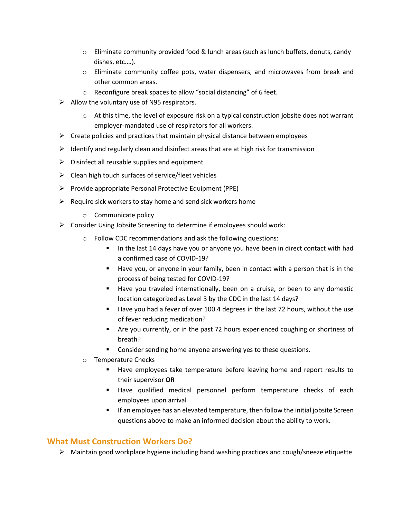- $\circ$  Eliminate community provided food & lunch areas (such as lunch buffets, donuts, candy dishes, etc.…).
- o Eliminate community coffee pots, water dispensers, and microwaves from break and other common areas.
- o Reconfigure break spaces to allow "social distancing" of 6 feet.
- $\triangleright$  Allow the voluntary use of N95 respirators.
	- $\circ$  At this time, the level of exposure risk on a typical construction jobsite does not warrant employer-mandated use of respirators for all workers.
- $\triangleright$  Create policies and practices that maintain physical distance between employees
- $\triangleright$  Identify and regularly clean and disinfect areas that are at high risk for transmission
- $\triangleright$  Disinfect all reusable supplies and equipment
- $\triangleright$  Clean high touch surfaces of service/fleet vehicles
- ➢ Provide appropriate Personal Protective Equipment (PPE)
- $\triangleright$  Require sick workers to stay home and send sick workers home
	- o Communicate policy
- ➢ Consider Using Jobsite Screening to determine if employees should work:
	- o Follow CDC recommendations and ask the following questions:
		- In the last 14 days have you or anyone you have been in direct contact with had a confirmed case of COVID-19?
		- Have you, or anyone in your family, been in contact with a person that is in the process of being tested for COVID-19?
		- Have you traveled internationally, been on a cruise, or been to any domestic location categorized as Level 3 by the CDC in the last 14 days?
		- Have you had a fever of over 100.4 degrees in the last 72 hours, without the use of fever reducing medication?
		- Are you currently, or in the past 72 hours experienced coughing or shortness of breath?
		- Consider sending home anyone answering yes to these questions.
	- o Temperature Checks
		- Have employees take temperature before leaving home and report results to their supervisor **OR**
		- Have qualified medical personnel perform temperature checks of each employees upon arrival
		- **■** If an employee has an elevated temperature, then follow the initial jobsite Screen questions above to make an informed decision about the ability to work.

## **What Must Construction Workers Do?**

➢ Maintain good workplace hygiene including hand washing practices and cough/sneeze etiquette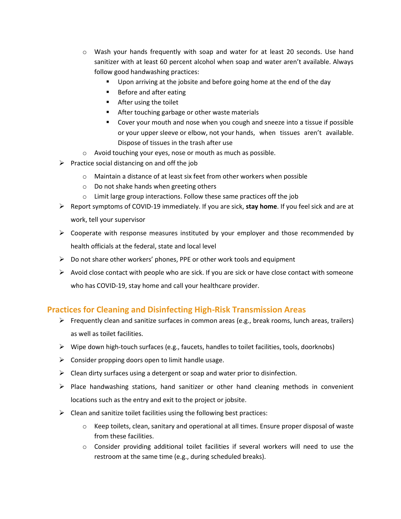- $\circ$  Wash your hands frequently with soap and water for at least 20 seconds. Use hand sanitizer with at least 60 percent alcohol when soap and water aren't available. Always follow good handwashing practices:
	- Upon arriving at the jobsite and before going home at the end of the day
	- Before and after eating
	- After using the toilet
	- After touching garbage or other waste materials
	- Cover your mouth and nose when you cough and sneeze into a tissue if possible or your upper sleeve or elbow, not your hands, when tissues aren't available. Dispose of tissues in the trash after use
- o Avoid touching your eyes, nose or mouth as much as possible.
- $\triangleright$  Practice social distancing on and off the job
	- o Maintain a distance of at least six feet from other workers when possible
	- o Do not shake hands when greeting others
	- $\circ$  Limit large group interactions. Follow these same practices off the job
- ➢ Report symptoms of COVID-19 immediately. If you are sick, **stay home**. If you feel sick and are at work, tell your supervisor
- $\triangleright$  Cooperate with response measures instituted by your employer and those recommended by health officials at the federal, state and local level
- $\triangleright$  Do not share other workers' phones, PPE or other work tools and equipment
- $\triangleright$  Avoid close contact with people who are sick. If you are sick or have close contact with someone who has COVID-19, stay home and call your healthcare provider.

## **Practices for Cleaning and Disinfecting High-Risk Transmission Areas**

- $\triangleright$  Frequently clean and sanitize surfaces in common areas (e.g., break rooms, lunch areas, trailers) as well as toilet facilities.
- $\triangleright$  Wipe down high-touch surfaces (e.g., faucets, handles to toilet facilities, tools, doorknobs)
- $\triangleright$  Consider propping doors open to limit handle usage.
- $\triangleright$  Clean dirty surfaces using a detergent or soap and water prior to disinfection.
- ➢ Place handwashing stations, hand sanitizer or other hand cleaning methods in convenient locations such as the entry and exit to the project or jobsite.
- $\triangleright$  Clean and sanitize toilet facilities using the following best practices:
	- o Keep toilets, clean, sanitary and operational at all times. Ensure proper disposal of waste from these facilities.
	- o Consider providing additional toilet facilities if several workers will need to use the restroom at the same time (e.g., during scheduled breaks).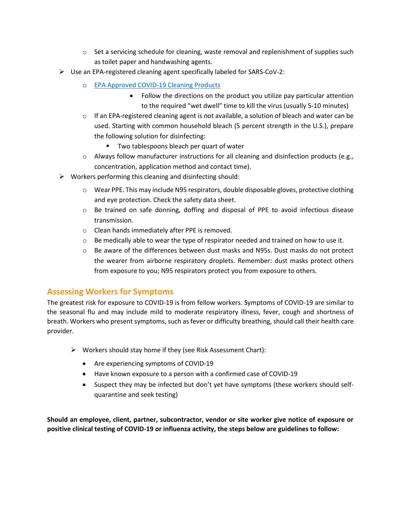- $\circ$  Set a servicing schedule for cleaning, waste removal and replenishment of supplies such as toilet paper and handwashing agents.
- ➢ Use an EPA-registered cleaning agent specifically labeled for SARS-CoV-2:
	- o [EPA Approved COVID-19 Cleaning Products](https://www.americanchemistry.com/Novel-Coronavirus-Fighting-Products-List.pdf) 
		- Follow the directions on the product you utilize pay particular attention to the required "wet dwell" time to kill the virus (usually 5-10 minutes)
	- $\circ$  If an EPA-registered cleaning agent is not available, a solution of bleach and water can be used. Starting with common household bleach (5 percent strength in the U.S.), prepare the following solution for disinfecting:
		- Two tablespoons bleach per quart of water
	- $\circ$  Always follow manufacturer instructions for all cleaning and disinfection products (e.g., concentration, application method and contact time).
- ➢ Workers performing this cleaning and disinfecting should:
	- o Wear PPE. This may include N95 respirators, double disposable gloves, protective clothing and eye protection. Check the safety data sheet.
	- $\circ$  Be trained on safe donning, doffing and disposal of PPE to avoid infectious disease transmission.
	- o Clean hands immediately after PPE is removed.
	- $\circ$  Be medically able to wear the type of respirator needed and trained on how to use it.
	- $\circ$  Be aware of the differences between dust masks and N95s. Dust masks do not protect the wearer from airborne respiratory droplets. Remember: dust masks protect others from exposure to you; N95 respirators protect you from exposure to others.

## **Assessing Workers for Symptoms**

The greatest risk for exposure to COVID-19 is from fellow workers. Symptoms of COVID-19 are similar to the seasonal flu and may include mild to moderate respiratory illness, fever, cough and shortness of breath. Workers who present symptoms, such as fever or difficulty breathing, should call their health care provider.

- ➢ Workers should stay home if they (see Risk Assessment Chart):
	- Are experiencing symptoms of COVID-19
	- Have known exposure to a person with a confirmed case of COVID-19
	- Suspect they may be infected but don't yet have symptoms (these workers should selfquarantine and seek testing)

**Should an employee, client, partner, subcontractor, vendor or site worker give notice of exposure or positive clinical testing of COVID-19 or influenza activity, the steps below are guidelines to follow:**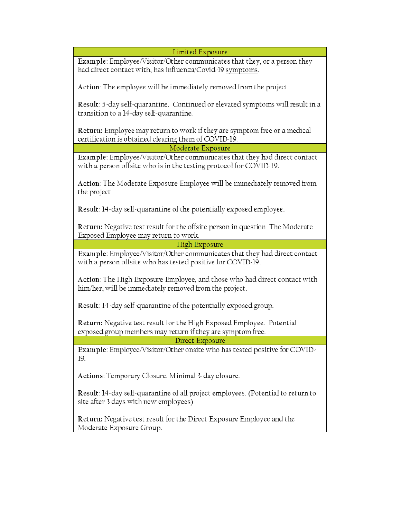Limited Exposure

Example: Employee/Visitor/Other communicates that they, or a person they had direct contact with, has influenza/Covid-19 symptoms.

Action: The employee will be immediately removed from the project.

Result: 5-day self-quarantine. Continued or elevated symptoms will result in a transition to a 14-day self-quarantine.

**Return:** Employee may return to work if they are symptom free or a medical certification is obtained clearing them of COVID-19.

Moderate Exposure

Example: Employee/Visitor/Other communicates that they had direct contact with a person offsite who is in the testing protocol for COVID-19.

Action: The Moderate Exposure Employee will be immediately removed from the project.

Result: 14-day self-quarantine of the potentially exposed employee.

Return: Negative test result for the offsite person in question. The Moderate Exposed Employee may return to work.

High Exposure

Example: Employee/Visitor/Other communicates that they had direct contact with a person offsite who has tested positive for COVID-19.

Action: The High Exposure Employee, and those who had direct contact with him/her, will be immediately removed from the project.

Result: 14-day self-quarantine of the potentially exposed group.

Return: Negative test result for the High Exposed Employee. Potential exposed group members may return if they are symptom free.

Direct Exposure

Example: Employee/Visitor/Other onsite who has tested positive for COVID-19.

Actions: Temporary Closure. Minimal 3-day closure.

Result: 14-day self-quarantine of all project employees. (Potential to return to site after 3 days with new employees)

Return: Negative test result for the Direct Exposure Employee and the Moderate Exposure Group.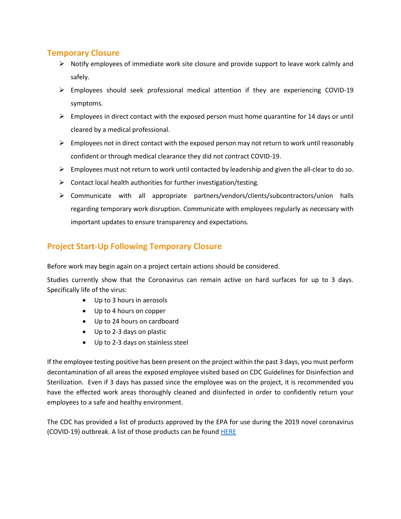#### **Temporary Closure**

- $\triangleright$  Notify employees of immediate work site closure and provide support to leave work calmly and safely.
- ➢ Employees should seek professional medical attention if they are experiencing COVID-19 symptoms.
- $\triangleright$  Employees in direct contact with the exposed person must home quarantine for 14 days or until cleared by a medical professional.
- $\triangleright$  Employees not in direct contact with the exposed person may not return to work until reasonably confident or through medical clearance they did not contract COVID-19.
- $\triangleright$  Employees must not return to work until contacted by leadership and given the all-clear to do so.
- $\triangleright$  Contact local health authorities for further investigation/testing.
- ➢ Communicate with all appropriate partners/vendors/clients/subcontractors/union halls regarding temporary work disruption. Communicate with employees regularly as necessary with important updates to ensure transparency and expectations.

# **Project Start-Up Following Temporary Closure**

Before work may begin again on a project certain actions should be considered.

Studies currently show that the Coronavirus can remain active on hard surfaces for up to 3 days. Specifically life of the virus:

- Up to 3 hours in aerosols
- Up to 4 hours on copper
- Up to 24 hours on cardboard
- Up to 2-3 days on plastic
- Up to 2-3 days on stainless steel

If the employee testing positive has been present on the project within the past 3 days, you must perform decontamination of all areas the exposed employee visited based on CDC Guidelines for Disinfection and Sterilization. Even if 3 days has passed since the employee was on the project, it is recommended you have the effected work areas thoroughly cleaned and disinfected in order to confidently return your employees to a safe and healthy environment.

The CDC has provided a list of products approved by the EPA for use during the 2019 novel coronavirus (COVID-19) outbreak. A list of those products can be found [HERE](https://www.americanchemistry.com/Novel-Coronavirus-Fighting-Products-List.pdf)